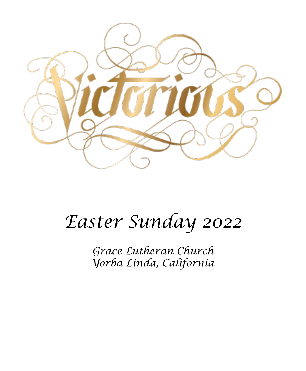

# *Easter Sunday 2022*

*Grace Lutheran Church Yorba Linda, California*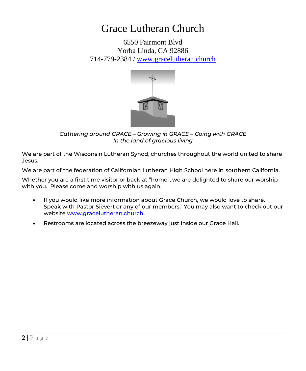# Grace Lutheran Church

6550 Fairmont Blvd Yorba Linda, CA 92886 714-779-2384 / [www.gracelutheran.church](http://www.gracelutheran.church/)



*Gathering around GRACE – Growing in GRACE – Going with GRACE In the land of gracious living*

We are part of the Wisconsin Lutheran Synod, churches throughout the world united to share Jesus.

We are part of the federation of Californian Lutheran High School here in southern California.

Whether you are a first time visitor or back at "home", we are delighted to share our worship with you. Please come and worship with us again.

- If you would like more information about Grace Church, we would love to share. Speak with Pastor Sievert or any of our members. You may also want to check out our websit[e www.gracelutheran.church.](http://www.gracelutheran.church/)
- Restrooms are located across the breezeway just inside our Grace Hall.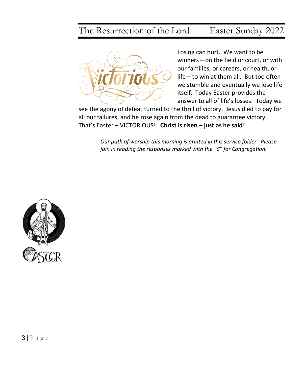# The Resurrection of the Lord Easter Sunday 2022



Losing can hurt. We want to be winners – on the field or court, or with our families, or careers, or health, or life – to win at them all. But too often we stumble and eventually we lose life itself. Today Easter provides the answer to all of life's losses. Today we

see the agony of defeat turned to the thrill of victory. Jesus died to pay for all our failures, and he rose again from the dead to guarantee victory. That's Easter – VICTORIOUS! **Christ is risen – just as he said!** 

> *Our path of worship this morning is printed in this service folder. Please join in reading the responses marked with the "C" for Congregation.*

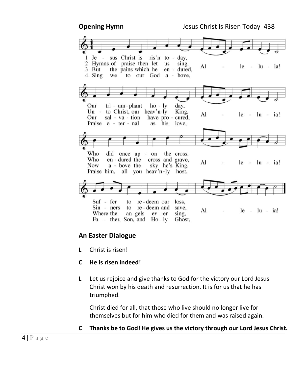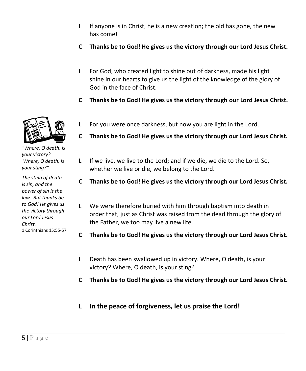- L If anyone is in Christ, he is a new creation; the old has gone, the new has come!
- **C Thanks be to God! He gives us the victory through our Lord Jesus Christ.**
- L For God, who created light to shine out of darkness, made his light shine in our hearts to give us the light of the knowledge of the glory of God in the face of Christ.
- **C Thanks be to God! He gives us the victory through our Lord Jesus Christ.**
- L For you were once darkness, but now you are light in the Lord.
- **C Thanks be to God! He gives us the victory through our Lord Jesus Christ.**
- L If we live, we live to the Lord; and if we die, we die to the Lord. So, whether we live or die, we belong to the Lord.
- **C Thanks be to God! He gives us the victory through our Lord Jesus Christ.**
- L We were therefore buried with him through baptism into death in order that, just as Christ was raised from the dead through the glory of the Father, we too may live a new life.
- **C Thanks be to God! He gives us the victory through our Lord Jesus Christ.**
- L Death has been swallowed up in victory. Where, O death, is your victory? Where, O death, is your sting?
- **C Thanks be to God! He gives us the victory through our Lord Jesus Christ.**
- **L In the peace of forgiveness, let us praise the Lord!**



*"Where, O death, is your victory? Where, O death, is your sting?"*

*The sting of death is sin, and the power of sin is the law. But thanks be to God! He gives us the victory through our Lord Jesus Christ.* 1 Corinthians 15:55-57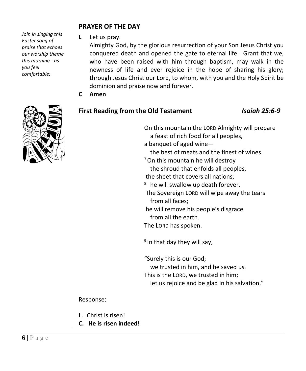*Join in singing this Easter song of praise that echoes our worship theme this morning - as you feel comfortable:*



#### **PRAYER OF THE DAY**

**L** Let us pray.

Almighty God, by the glorious resurrection of your Son Jesus Christ you conquered death and opened the gate to eternal life. Grant that we, who have been raised with him through baptism, may walk in the newness of life and ever rejoice in the hope of sharing his glory; through Jesus Christ our Lord, to whom, with you and the Holy Spirit be dominion and praise now and forever.

**C Amen**

### **First Reading from the Old Testament** *Isaiah 25:6-9*

| On this mountain the LORD Almighty will prepare<br>a feast of rich food for all peoples,<br>a banquet of aged wine-<br>the best of meats and the finest of wines.<br><sup>7</sup> On this mountain he will destroy<br>the shroud that enfolds all peoples,<br>the sheet that covers all nations;<br><sup>8</sup> he will swallow up death forever.<br>The Sovereign LORD will wipe away the tears<br>from all faces;<br>he will remove his people's disgrace<br>from all the earth.<br>The LORD has spoken. |
|-------------------------------------------------------------------------------------------------------------------------------------------------------------------------------------------------------------------------------------------------------------------------------------------------------------------------------------------------------------------------------------------------------------------------------------------------------------------------------------------------------------|
| <sup>9</sup> In that day they will say,<br>"Surely this is our God;<br>we trusted in him, and he saved us.<br>This is the LORD, we trusted in him;<br>let us rejoice and be glad in his salvation."                                                                                                                                                                                                                                                                                                         |

### Response:

- L. Christ is risen!
- **C. He is risen indeed!**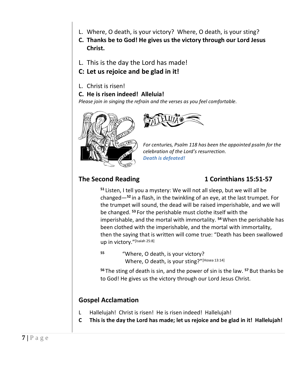- L. Where, O death, is your victory? Where, O death, is your sting?
- **C. Thanks be to God! He gives us the victory through our Lord Jesus Christ.**
- L. This is the day the Lord has made!
- **C: Let us rejoice and be glad in it!**
- L. Christ is risen!
- **C. He is risen indeed! Alleluia!**

*Please join in singing the refrain and the verses as you feel comfortable.* 





*For centuries, Psalm 118 has been the appointed psalm for the celebration of the Lord's resurrection. Death is defeated!*

### **The Second Reading 1 Corinthians 15:51-57**

**<sup>51</sup>** Listen, I tell you a mystery: We will not all sleep, but we will all be changed—**<sup>52</sup>** in a flash, in the twinkling of an eye, at the last trumpet. For the trumpet will sound, the dead will be raised imperishable, and we will be changed. **<sup>53</sup>** For the perishable must clothe itself with the imperishable, and the mortal with immortality. **<sup>54</sup>**When the perishable has been clothed with the imperishable, and the mortal with immortality, then the saying that is written will come true: "Death has been swallowed up in victory."[Isaiah 25:8]

**<sup>55</sup>** "Where, O death, is your victory? Where, O death, is your sting?"[Hosea 13:14]

**<sup>56</sup>** The sting of death is sin, and the power of sin is the law. **<sup>57</sup>** But thanks be to God! He gives us the victory through our Lord Jesus Christ.

### **Gospel Acclamation**

- L Hallelujah! Christ is risen! He is risen indeed! Hallelujah!
- **C This is the day the Lord has made; let us rejoice and be glad in it! Hallelujah!**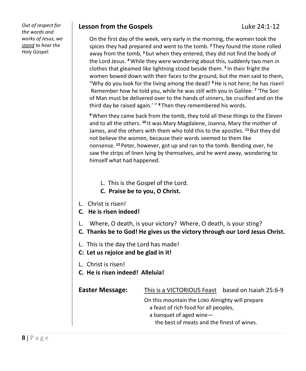*Out of respect for the words and works of Jesus, we stand to hear the Holy Gospel.*

#### **Lesson from the Gospels Luke 24:1-12**

On the first day of the week, very early in the morning, the women took the spices they had prepared and went to the tomb. **<sup>2</sup>** They found the stone rolled away from the tomb, **<sup>3</sup>** but when they entered, they did not find the body of the Lord Jesus. **<sup>4</sup>**While they were wondering about this, suddenly two men in clothes that gleamed like lightning stood beside them. **<sup>5</sup>** In their fright the women bowed down with their faces to the ground, but the men said to them, "Why do you look for the living among the dead? **<sup>6</sup>**He is not here; he has risen! Remember how he told you, while he was still with you in Galilee: **<sup>7</sup>** 'The Son of Man must be delivered over to the hands of sinners, be crucified and on the third day be raised again.' " **<sup>8</sup>** Then they remembered his words.

**<sup>9</sup>**When they came back from the tomb, they told all these things to the Eleven and to all the others. **<sup>10</sup>** It was Mary Magdalene, Joanna, Mary the mother of James, and the others with them who told this to the apostles. **<sup>11</sup>** But they did not believe the women, because their words seemed to them like nonsense. **<sup>12</sup>** Peter, however, got up and ran to the tomb. Bending over, he saw the strips of linen lying by themselves, and he went away, wondering to himself what had happened.

- L. This is the Gospel of the Lord.
- **C. Praise be to you, O Christ.**
- L. Christ is risen!
- **C. He is risen indeed!**
- L. Where, O death, is your victory? Where, O death, is your sting?
- **C. Thanks be to God! He gives us the victory through our Lord Jesus Christ.**
- L. This is the day the Lord has made!
- **C: Let us rejoice and be glad in it!**
- L. Christ is risen!
- **C. He is risen indeed! Alleluia!**

| Easter Message: | This is a VICTORIOUS Feast                                                               | based on Isaiah 25:6-9 |
|-----------------|------------------------------------------------------------------------------------------|------------------------|
|                 | On this mountain the LORD Almighty will prepare<br>a feast of rich food for all peoples. |                        |
|                 | a banquet of aged wine-                                                                  |                        |
|                 | the best of meats and the finest of wines.                                               |                        |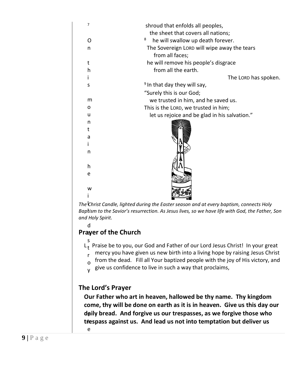| 7 | shroud that enfolds all peoples,              |
|---|-----------------------------------------------|
|   | the sheet that covers all nations;            |
| O | 8<br>he will swallow up death forever.        |
| n | The Sovereign LORD will wipe away the tears   |
|   | from all faces;                               |
| t | he will remove his people's disgrace          |
| h | from all the earth.                           |
|   | The LORD has spoken.                          |
| S | <sup>9</sup> In that day they will say,       |
|   | "Surely this is our God;                      |
| m | we trusted in him, and he saved us.           |
| o | This is the LORD, we trusted in him;          |
| u | let us rejoice and be glad in his salvation." |
| n |                                               |
| t |                                               |
| a |                                               |
|   |                                               |
| n |                                               |
|   |                                               |
| h |                                               |
| e |                                               |
|   |                                               |
| w |                                               |
|   |                                               |

l *The Christ Candle, lighted during the Easter season and at every baptism, connects Holy*  l *Baptism to the Savior's resurrection. As Jesus lives, so we have life with God, the Father, Son and Holy Spirit.*

d

e

### **Prayer of the Church**

- s L<sub>t</sub> Praise be to you, our God and Father of our Lord Jesus Christ! In your great
- r mercy you have given us new birth into a living hope by raising Jesus Christ
- $_0$  from the dead. Fill all Your baptized people with the joy of His victory, and
- y give us confidence to live in such a way that proclaims,

#### **The Lord's Prayer**

t **daily bread. And forgive us our trespasses, as we forgive those who**  h **trespass against us. And lead us not into temptation but deliver us Our Father who art in heaven, hallowed be thy name. Thy kingdom come, thy will be done on earth as it is in heaven. Give us this day our**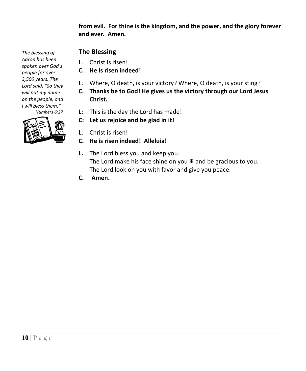**from evil. For thine is the kingdom, and the power, and the glory forever and ever. Amen.**

#### **The Blessing**

- L. Christ is risen!
- **C. He is risen indeed!**
- L. Where, O death, is your victory? Where, O death, is your sting?
- **C. Thanks be to God! He gives us the victory through our Lord Jesus Christ.**
- L: This is the day the Lord has made!
- **C: Let us rejoice and be glad in it!**
- L. Christ is risen!
- **C. He is risen indeed! Alleluia!**
- **L.** The Lord bless you and keep you. The Lord make his face shine on you  $\mathbb F$  and be gracious to you. The Lord look on you with favor and give you peace.
- **C. Amen.**

*The blessing of Aaron has been spoken over God's people for over 3,500 years. The Lord said, "So they will put my name on the people, and I will bless them." Numbers 6:27*